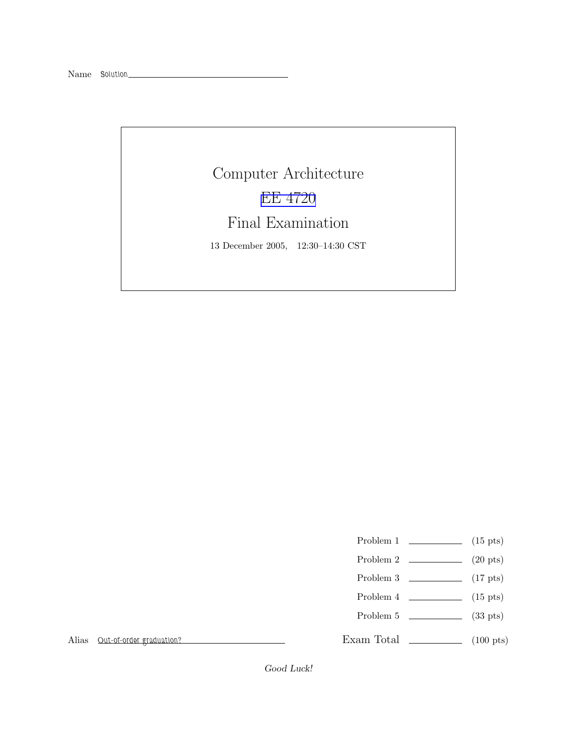## Computer Architecture EE [4720](http://www.ece.lsu.edu/ee4720/) Final Examination 13 December 2005, 12:30–14:30 CST

- Problem 1  $\qquad \qquad$  (15 pts)
- Problem 2  $\qquad \qquad$  (20 pts)
- Problem 3  $\qquad \qquad (17 \text{ pts})$
- Problem 4  $\qquad \qquad$  (15 pts)
- Problem 5  $\sim$  (33 pts)

Exam Total \_\_\_\_\_\_\_\_\_\_\_\_\_ (100 pts)

Alias Out-of-order graduation?

Good Luck!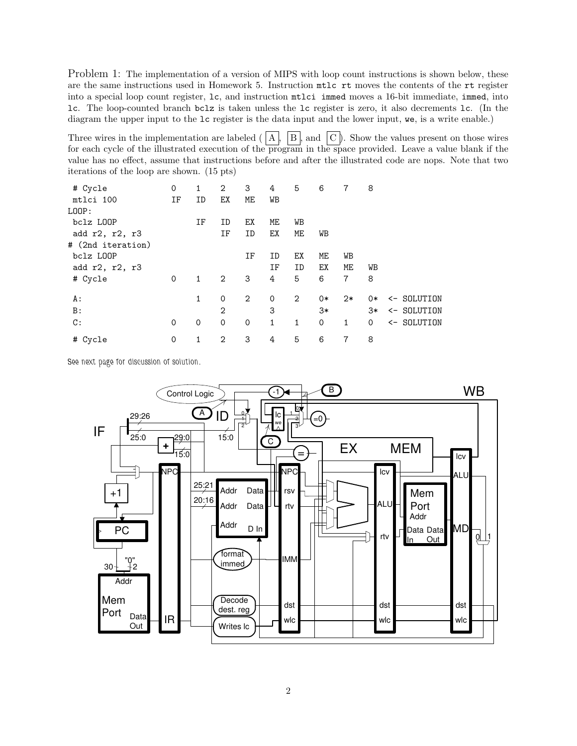Problem 1: The implementation of a version of MIPS with loop count instructions is shown below, these are the same instructions used in Homework 5. Instruction mtlc rt moves the contents of the rt register into a special loop count register, lc, and instruction mtlci immed moves a 16-bit immediate, immed, into lc. The loop-counted branch bclz is taken unless the lc register is zero, it also decrements lc. (In the diagram the upper input to the lc register is the data input and the lower input, we, is a write enable.)

Three wires in the implementation are labeled  $(|A|, |B|)$  and  $|C|$ . Show the values present on those wires for each cycle of the illustrated execution of the program in the space provided. Leave a value blank if the value has no effect, assume that instructions before and after the illustrated code are nops. Note that two iterations of the loop are shown. (15 pts)

| # Cycle           | 0  | 1            | $\overline{2}$ | 3           | 4            | 5              | 6           | 7    | 8            |             |
|-------------------|----|--------------|----------------|-------------|--------------|----------------|-------------|------|--------------|-------------|
| mtlci 100         | ΙF | ID           | ЕX             | ME          | WВ           |                |             |      |              |             |
| LOOP:             |    |              |                |             |              |                |             |      |              |             |
| bclz LOOP         |    | ΙF           | ID             | ЕX          | МE           | WB             |             |      |              |             |
| add r2, r2, r3    |    |              | ΙF             | ID          | ЕX           | ME             | WВ          |      |              |             |
| # (2nd iteration) |    |              |                |             |              |                |             |      |              |             |
| bclz LOOP         |    |              |                | ΙF          | ID           | ЕX             | ME          | WB   |              |             |
| add r2, r2, r3    |    |              |                |             | ΙF           | ID             | ЕX          | ME   | WB           |             |
| # Cycle           | 0  | 1            | 2              | 3           | 4            | 5              | 6           | 7    | 8            |             |
|                   |    |              |                |             |              |                |             |      |              |             |
| A :               |    | $\mathbf{1}$ | 0              | 2           | $\mathbf 0$  | $\overline{2}$ | 0*          | $2*$ | 0*           | <- SOLUTION |
| B:                |    |              | $\overline{2}$ |             | 3            |                | 3*          |      | $3*$         | <- SOLUTION |
| C:                | 0  | 0            | $\mathbf 0$    | $\mathbf 0$ | $\mathbf{1}$ | $\mathbf{1}$   | $\mathbf 0$ | 1    | $\mathsf{O}$ | <- SOLUTION |
| # Cycle           | 0  | 1            | 2              | 3           | 4            | 5              | 6           | 7    | 8            |             |
|                   |    |              |                |             |              |                |             |      |              |             |

See next page for discussion of solution.

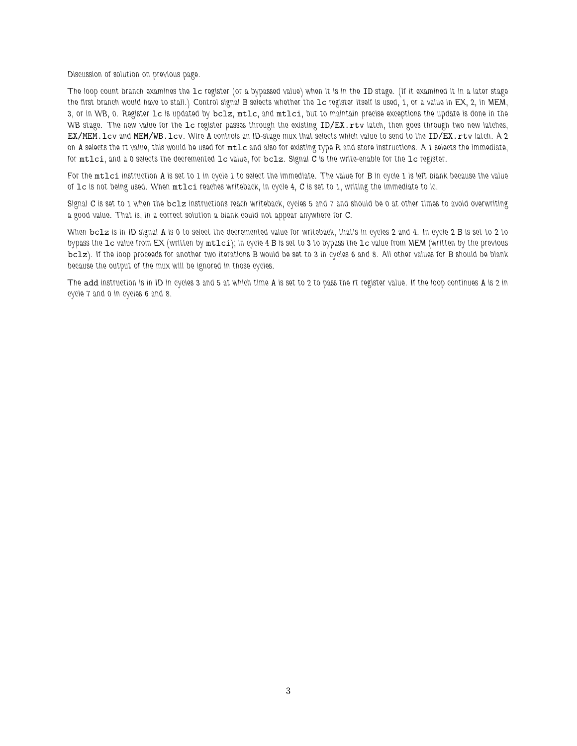Discussion of solution on previous page.

The loop count branch examines the lc register (or a bypassed value) when it is in the ID stage. (If it examined it in a later stage the first branch would have to stall.) Control signal B selects whether the lc register itself is used, 1, or a value in EX, 2, in MEM, 3, or in WB, 0. Register lc is updated by bclz, mtlc, and mtlci, but to maintain precise exceptions the update is done in the WB stage. The new value for the 1c register passes through the existing ID/EX.rtv latch, then goes through two new latches, EX/MEM.lcv and MEM/WB.lcv. Wire A controls an ID-stage mux that selects which value to send to the ID/EX.rtv latch. A 2 on A selects the rt value, this would be used for mtlc and also for existing type R and store instructions. A 1 selects the immediate, for mtlci, and a 0 selects the decremented lc value, for bclz. Signal C is the write-enable for the lc register.

For the mtlci instruction A is set to 1 in cycle 1 to select the immediate. The value for B in cycle 1 is left blank because the value of lc is not being used. When mtlci reaches writeback, in cycle 4, C is set to 1, writing the immediate to lc.

Signal C is set to 1 when the bclz instructions reach writeback, cycles 5 and 7 and should be 0 at other times to avoid overwriting a good value. That is, in a correct solution a blank could not appear anywhere for C.

When bclz is in ID signal A is 0 to select the decremented value for writeback, that's in cycles 2 and 4. In cycle 2 B is set to 2 to bypass the lc value from EX (written by mtlci); in cycle 4 B is set to 3 to bypass the lc value from MEM (written by the previous bclz). If the loop proceeds for another two iterations B would be set to 3 in cycles 6 and 8. All other values for B should be blank because the output of the mux will be ignored in those cycles.

The add instruction is in ID in cycles 3 and 5 at which time A is set to 2 to pass the rt register value. If the loop continues A is 2 in cycle 7 and 0 in cycles 6 and 8.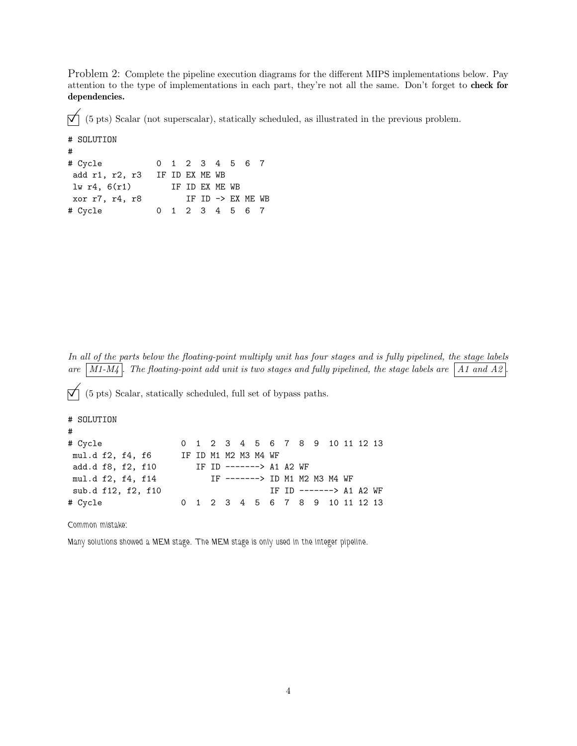Problem 2: Complete the pipeline execution diagrams for the different MIPS implementations below. Pay attention to the type of implementations in each part, they're not all the same. Don't forget to check for dependencies.

 $\vec{\nabla}$  (5 pts) Scalar (not superscalar), statically scheduled, as illustrated in the previous problem.

```
# SOLUTION
#
# Cycle 0 1 2 3 4 5 6 7
add r1, r2, r3 IF ID EX ME WB
lw r4, 6(r1) IF ID EX ME WB
xor r7, r4, r8 IF ID \rightarrow EX ME WB
# Cycle 0 1 2 3 4 5 6 7
```
In all of the parts below the floating-point multiply unit has four stages and is fully pipelined, the stage labels are  $\boxed{M1-M_4}$ . The floating-point add unit is two stages and fully pipelined, the stage labels are  $\boxed{A1}$  and A2

 $\vec{\nabla}$  (5 pts) Scalar, statically scheduled, full set of bypass paths.

```
# SOLUTION
#
# Cycle 0 1 2 3 4 5 6 7 8 9 10 11 12 13
mul.d f2, f4, f6 IF ID M1 M2 M3 M4 WF
add.d f8, f2, f10 IF ID -------> A1 A2 WF
mul.d f2, f4, f14 IF -------> ID M1 M2 M3 M4 WF
sub.d f12, f2, f10 IF ID -------> A1 A2 WF
# Cycle 0 1 2 3 4 5 6 7 8 9 10 11 12 13
```
Common mistake:

Many solutions showed a MEM stage. The MEM stage is only used in the integer pipeline.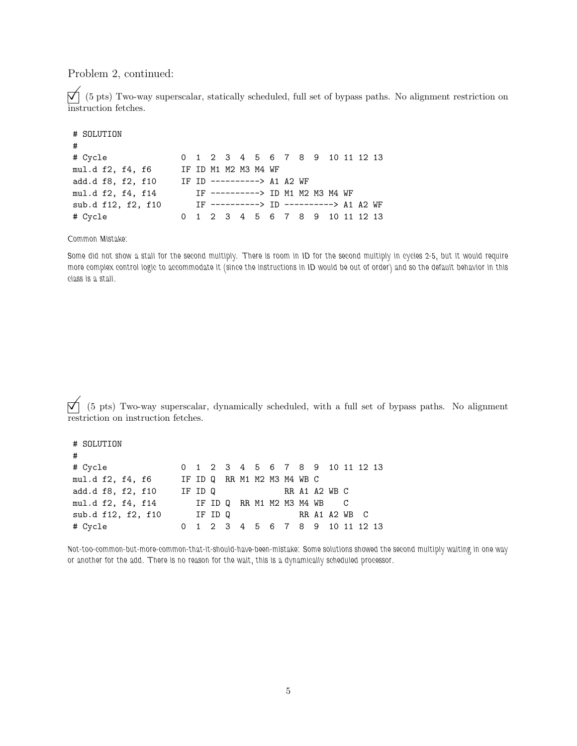Problem 2, continued:

 $\bigvee$  (5 pts) Two-way superscalar, statically scheduled, full set of bypass paths. No alignment restriction on instruction fetches.

| # SOLUTION         |  |  |                                        |  |  |  |  |  |
|--------------------|--|--|----------------------------------------|--|--|--|--|--|
| #                  |  |  |                                        |  |  |  |  |  |
| # Cycle            |  |  | 0 1 2 3 4 5 6 7 8 9 10 11 12 13        |  |  |  |  |  |
| mul.d f2, f4, f6   |  |  | IF ID M1 M2 M3 M4 WF                   |  |  |  |  |  |
| add.d f8, f2, f10  |  |  | IF ID ----------> A1 A2 WF             |  |  |  |  |  |
| mul.d f2, f4, f14  |  |  | IF ----------> ID M1 M2 M3 M4 WF       |  |  |  |  |  |
| sub.d f12, f2, f10 |  |  | IF ----------> ID ----------> A1 A2 WF |  |  |  |  |  |
| # Cycle            |  |  | 0 1 2 3 4 5 6 7 8 9 10 11 12 13        |  |  |  |  |  |

Common Mistake:

Some did not show a stall for the second multiply. There is room in ID for the second multiply in cycles 2-5, but it would require more complex control logic to accommodate it (since the instructions in ID would be out of order) and so the default behavior in this class is a stall.

 $\bigvee$  (5 pts) Two-way superscalar, dynamically scheduled, with a full set of bypass paths. No alignment restriction on instruction fetches.

| # SOLUTION         |                     |  |  |  |                                 |  |  |  |
|--------------------|---------------------|--|--|--|---------------------------------|--|--|--|
| #                  |                     |  |  |  |                                 |  |  |  |
| # Cycle            |                     |  |  |  | 0 1 2 3 4 5 6 7 8 9 10 11 12 13 |  |  |  |
| mul.d f2, f4, f6   |                     |  |  |  | IF ID Q RR M1 M2 M3 M4 WB C     |  |  |  |
| add.d f8, f2, f10  |                     |  |  |  | IF ID Q RR A1 A2 WB C           |  |  |  |
| mul.d f2, f4, f14  | IF IDQRRM1M2M3M4WBC |  |  |  |                                 |  |  |  |
| sub.d f12, f2, f10 | IF ID Q             |  |  |  | RR A1 A2 WB C                   |  |  |  |
| # Cycle            |                     |  |  |  | 0 1 2 3 4 5 6 7 8 9 10 11 12 13 |  |  |  |

Not-too-common-but-more-common-that-it-should-have-been-mistake: Some solutions showed the second multiply waiting in one way or another for the add. There is no reason for the wait, this is a dynamically scheduled processor.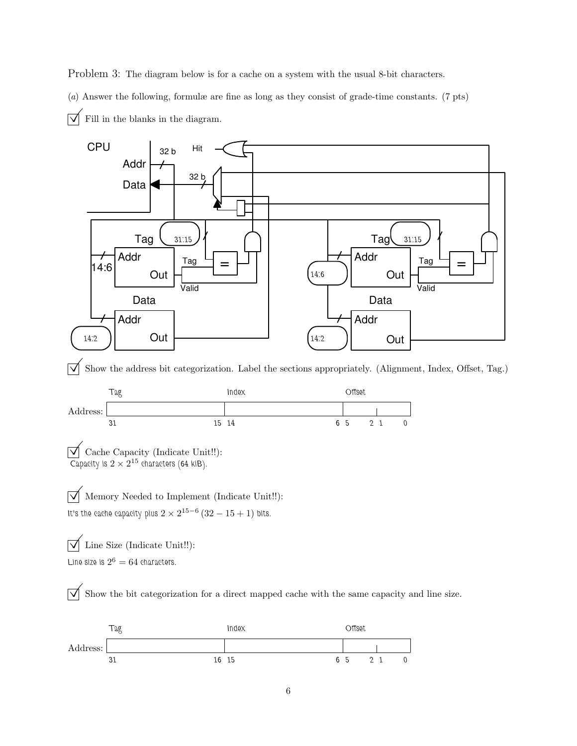Problem 3: The diagram below is for a cache on a system with the usual 8-bit characters.

(a) Answer the following, formulæ are fine as long as they consist of grade-time constants. (7 pts)  $\triangledown$  Fill in the blanks in the diagram.



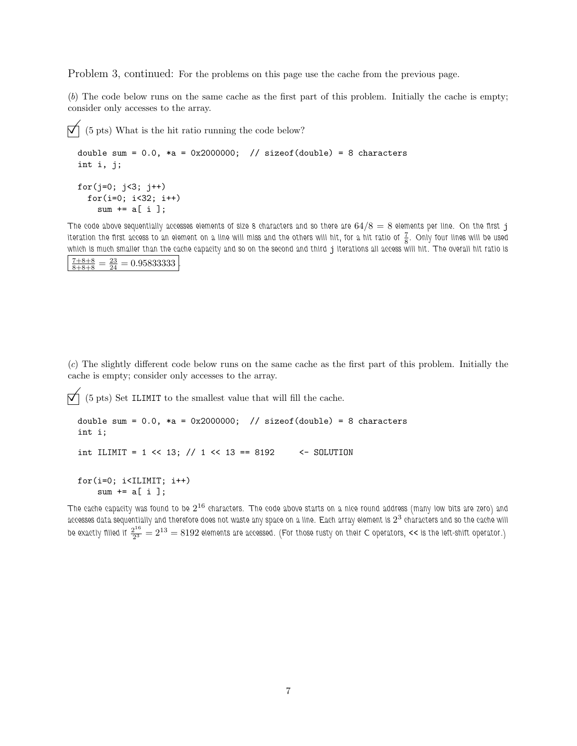Problem 3, continued: For the problems on this page use the cache from the previous page.

(b) The code below runs on the same cache as the first part of this problem. Initially the cache is empty; consider only accesses to the array.

```
\overrightarrow{\mathcal{N}} (5 pts) What is the hit ratio running the code below?
  double sum = 0.0, *a = 0x2000000; // sizeof(double) = 8 characters
  int i, j;
  for(j=0; j<3; j++)for(i=0; i<32; i++)
       sum += a[i];
```
The code above sequentially accesses elements of size 8 characters and so there are  $64/8 = 8$  elements per line. On the first j iteration the first access to an element on a line will miss and the others will hit, for a hit ratio of  $\frac{7}{8}$ . Only four lines will be used which is much smaller than the cache capacity and so on the second and third j iterations all access will hit. The overall hit ratio is  $\frac{7+8+8}{8+8+8} = \frac{23}{24} = 0.95833333$ .

(c) The slightly different code below runs on the same cache as the first part of this problem. Initially the cache is empty; consider only accesses to the array.

 $\overrightarrow{p}$  (5 pts) Set ILIMIT to the smallest value that will fill the cache.

```
double sum = 0.0, *a = 0x2000000; // sizeof(double) = 8 characters
int i;
int ILIMIT = 1 \ll 13; // 1 \ll 13 == 8192 \ll - SOLUTION
for(i=0; i<IILMIT; i++)sum += a[i];
```
The cache capacity was found to be  $2^{16}$  characters. The code above starts on a nice round address (many low bits are zero) and accesses data sequentially and therefore does not waste any space on a line. Each array element is  $2^3$  characters and so the cache will be exactly filled if  $\frac{2^{16}}{2^3}$  $\frac{2^{16}}{2^3} = 2^{13} = 8192$  elements are accessed. (For those rusty on their C operators, << is the left-shift operator.)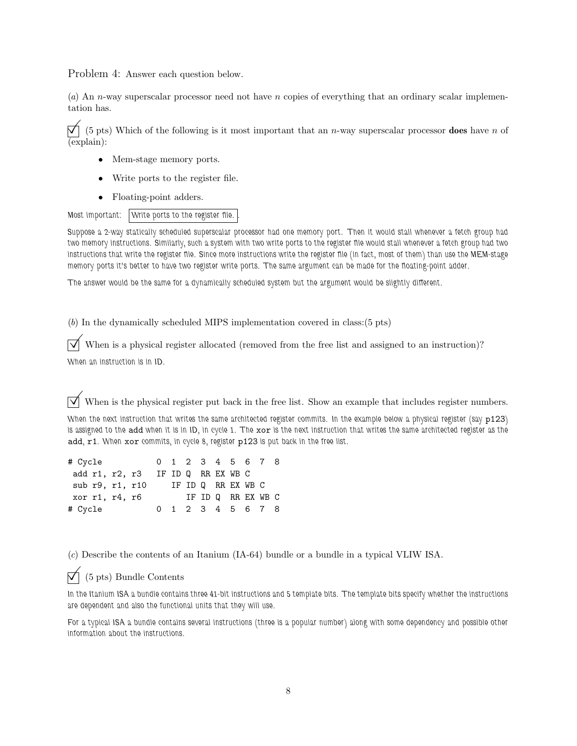Problem 4: Answer each question below.

(a) An n-way superscalar processor need not have n copies of everything that an ordinary scalar implementation has.

 $\vec{\nabla}$  (5 pts) Which of the following is it most important that an *n*-way superscalar processor **does** have *n* of (explain):

- Mem-stage memory ports.
- Write ports to the register file.
- Floating-point adders.

```
Most important: Write ports to the register file.
```
Suppose a 2-way statically scheduled superscalar processor had one memory port. Then it would stall whenever a fetch group had two memory instructions. Similarly, such a system with two write ports to the register file would stall whenever a fetch group had two instructions that write the register file. Since more instructions write the register file (in fact, most of them) than use the MEM-stage memory ports it's better to have two register write ports. The same argument can be made for the floating-point adder.

The answer would be the same for a dynamically scheduled system but the argument would be slightly different.

(b) In the dynamically scheduled MIPS implementation covered in class:(5 pts)

When is a physical register allocated (removed from the free list and assigned to an instruction)? When an instruction is in ID.

 $\overrightarrow{\mathcal{A}}$  When is the physical register put back in the free list. Show an example that includes register numbers.

When the next instruction that writes the same architected register commits. In the example below a physical register (say p123) is assigned to the add when it is in ID, in cycle 1. The xor is the next instruction that writes the same architected register as the add, r1. When xor commits, in cycle 8, register p123 is put back in the free list.

| # Cycle                           | 0 1 2 3 4 5 6 7 8 |  |                    |  |  |  |
|-----------------------------------|-------------------|--|--------------------|--|--|--|
| add r1, r2, r3 IF ID Q RR EX WB C |                   |  |                    |  |  |  |
| sub r9, r1, r10                   |                   |  | IF ID Q RR EX WB C |  |  |  |
| xor r1, r4, r6                    |                   |  | IF ID Q RR EX WB C |  |  |  |
| # Cycle                           |                   |  | 0 1 2 3 4 5 6 7 8  |  |  |  |

(c) Describe the contents of an Itanium (IA-64) bundle or a bundle in a typical VLIW ISA.

## $\nabla$  (5 pts) Bundle Contents

In the Itanium ISA a bundle contains three 41-bit instructions and 5 template bits. The template bits specify whether the instructions are dependent and also the functional units that they will use.

For a typical ISA a bundle contains several instructions (three is a popular number) along with some dependency and possible other information about the instructions.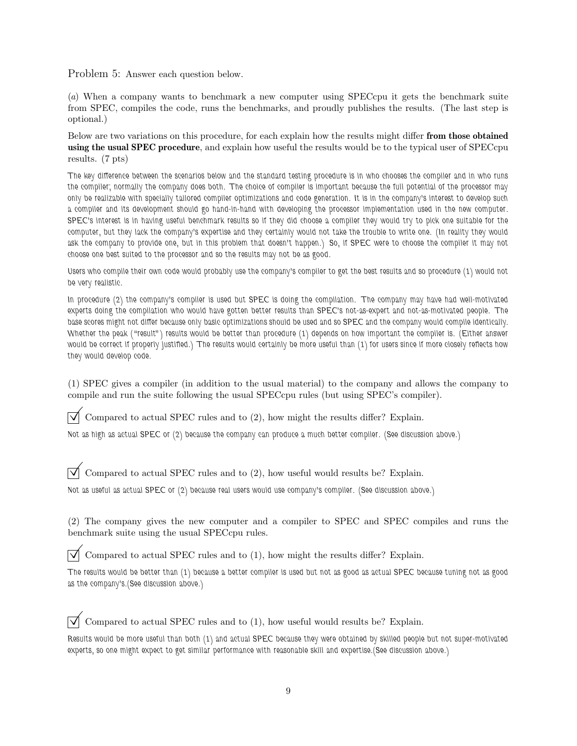Problem 5: Answer each question below.

(a) When a company wants to benchmark a new computer using SPECcpu it gets the benchmark suite from SPEC, compiles the code, runs the benchmarks, and proudly publishes the results. (The last step is optional.)

Below are two variations on this procedure, for each explain how the results might differ from those obtained using the usual SPEC procedure, and explain how useful the results would be to the typical user of SPECcpu results. (7 pts)

The key difference between the scenarios below and the standard testing procedure is in who chooses the compiler and in who runs the compiler; normally the company does both. The choice of compiler is important because the full potential of the processor may only be realizable with specially tailored compiler optimizations and code generation. It is in the company's interest to develop such a compiler and its development should go hand-in-hand with developing the processor implementation used in the new computer. SPEC's interest is in having useful benchmark results so if they did choose a compiler they would try to pick one suitable for the computer, but they lack the company's expertise and they certainly would not take the trouble to write one. (In reality they would ask the company to provide one, but in this problem that doesn't happen.) So, if SPEC were to choose the compiler it may not choose one best suited to the processor and so the results may not be as good.

Users who compile their own code would probably use the company's compiler to get the best results and so procedure (1) would not be very realistic.

In procedure (2) the company's compiler is used but SPEC is doing the compilation. The company may have had well-motivated experts doing the compilation who would have gotten better results than SPEC's not-as-expert and not-as-motivated people. The base scores might not differ because only basic optimizations should be used and so SPEC and the company would compile identically. Whether the peak ("result") results would be better than procedure (1) depends on how important the compiler is. (Either answer would be correct if properly justified.) The results would certainly be more useful than (1) for users since if more closely reflects how they would develop code.

(1) SPEC gives a compiler (in addition to the usual material) to the company and allows the company to compile and run the suite following the usual SPECcpu rules (but using SPEC's compiler).

 $\triangledown$  Compared to actual SPEC rules and to (2), how might the results differ? Explain.

Not as high as actual SPEC or (2) because the company can produce a much better compiler. (See discussion above.)

 $\triangledown$  Compared to actual SPEC rules and to (2), how useful would results be? Explain.

Not as useful as actual SPEC or (2) because real users would use company's compiler. (See discussion above.)

(2) The company gives the new computer and a compiler to SPEC and SPEC compiles and runs the benchmark suite using the usual SPECcpu rules.

 $\triangledown$  Compared to actual SPEC rules and to (1), how might the results differ? Explain.

The results would be better than (1) because a better compiler is used but not as good as actual SPEC because tuning not as good as the company's.(See discussion above.)

 $\triangledown$  Compared to actual SPEC rules and to (1), how useful would results be? Explain.

Results would be more useful than both (1) and actual SPEC because they were obtained by skilled people but not super-motivated experts, so one might expect to get similar performance with reasonable skill and expertise.(See discussion above.)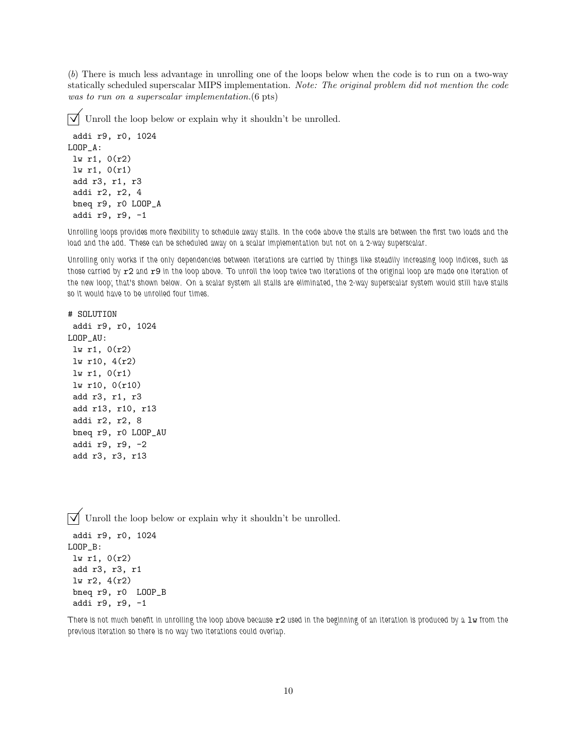(b) There is much less advantage in unrolling one of the loops below when the code is to run on a two-way statically scheduled superscalar MIPS implementation. Note: The original problem did not mention the code was to run on a superscalar implementation.  $(6 \text{ pts})$ 

 $\triangledown$  Unroll the loop below or explain why it shouldn't be unrolled.

```
addi r9, r0, 1024
LOOP_A:
lw r1, 0(r2)
lw r1, 0(r1)
add r3, r1, r3
addi r2, r2, 4
bneq r9, r0 LOOP_A
addi r9, r9, -1
```
Unrolling loops provides more flexibility to schedule away stalls. In the code above the stalls are between the first two loads and the load and the add. These can be scheduled away on a scalar implementation but not on a 2-way superscalar.

Unrolling only works if the only dependencies between iterations are carried by things like steadily increasing loop indices, such as those carried by  $r2$  and  $r9$  in the loop above. To unroll the loop twice two iterations of the original loop are made one iteration of the new loop; that's shown below. On a scalar system all stalls are eliminated, the 2-way superscalar system would still have stalls so it would have to be unrolled four times.

```
# SOLUTION
addi r9, r0, 1024
LOOP_AU:
lw r1, 0(r2)
lw r10, 4(r2)
lw r1, 0(r1)
lw r10, 0(r10)
 add r3, r1, r3
 add r13, r10, r13
addi r2, r2, 8
bneq r9, r0 LOOP_AU
addi r9, r9, -2
 add r3, r3, r13
```
 $\triangledown$  Unroll the loop below or explain why it shouldn't be unrolled.

```
addi r9, r0, 1024
LOOP_B:
lw r1, 0(r2)
add r3, r3, r1
lw r2, 4(r2)
bneq r9, r0 LOOP_B
addi r9, r9, -1
```
There is not much benefit in unrolling the loop above because  $r2$  used in the beginning of an iteration is produced by a  $1w$  from the previous iteration so there is no way two iterations could overlap.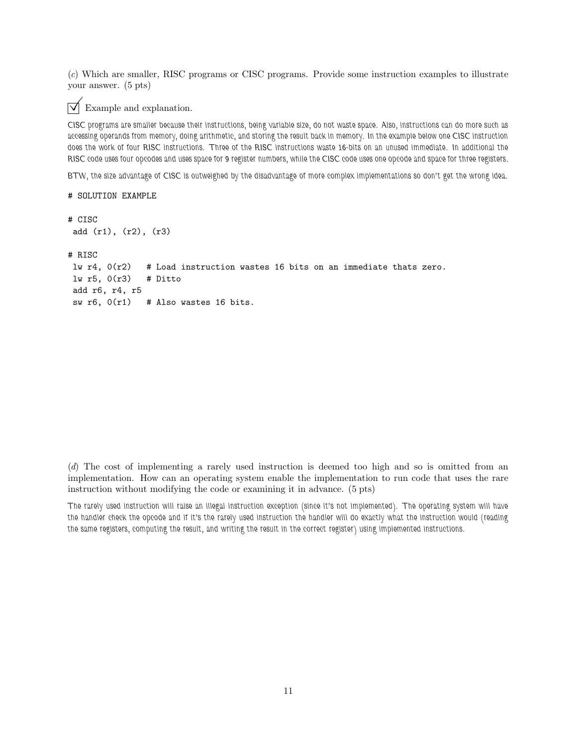(c) Which are smaller, RISC programs or CISC programs. Provide some instruction examples to illustrate your answer. (5 pts)



## Example and explanation.

CISC programs are smaller because their instructions, being variable size, do not waste space. Also, instructions can do more such as accessing operands from memory, doing arithmetic, and storing the result back in memory. In the example below one CISC instruction does the work of four RISC instructions. Three of the RISC instructions waste 16-bits on an unused immediate. In additional the RISC code uses four opcodes and uses space for 9 register numbers, while the CISC code uses one opcode and space for three registers.

BTW, the size advantage of CISC is outweighed by the disadvantage of more complex implementations so don't get the wrong idea.

```
# SOLUTION EXAMPLE
```

```
# CISC
add (r1), (r2), (r3)
# RISC
lw r4, 0(r2) # Load instruction wastes 16 bits on an immediate thats zero.
lw r5, 0(r3) # Ditto
add r6, r4, r5
sw r6, 0(r1) # Also wastes 16 bits.
```
(d) The cost of implementing a rarely used instruction is deemed too high and so is omitted from an implementation. How can an operating system enable the implementation to run code that uses the rare instruction without modifying the code or examining it in advance. (5 pts)

The rarely used instruction will raise an illegal instruction exception (since it's not implemented). The operating system will have the handler check the opcode and if it's the rarely used instruction the handler will do exactly what the instruction would (reading the same registers, computing the result, and writing the result in the correct register) using implemented instructions.